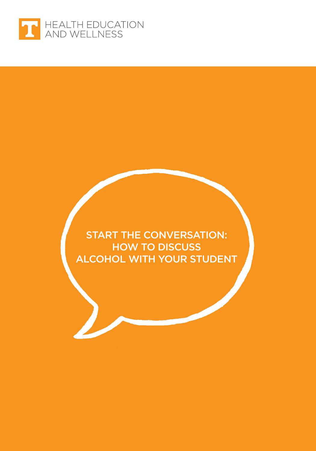

START THE CONVERSATION: HOW TO DISCUSS ALCOHOL WITH YOUR STUDENT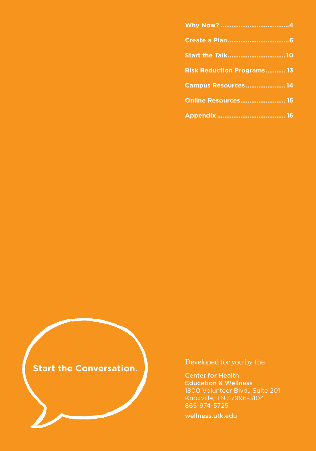| Start the Talk10                  |  |
|-----------------------------------|--|
| <b>Risk Reduction Programs 13</b> |  |
| <b>Campus Resources  14</b>       |  |
| <b>Online Resources 15</b>        |  |
|                                   |  |

**Start the Conversation.**

Developed for you by the

Center for Health Education & Wellness 1800 Volunteer Blvd., Suite 201 Knoxville, TN 37996-3104 865-974-5725

[wellness.utk.edu](http://wellness.utk.edu)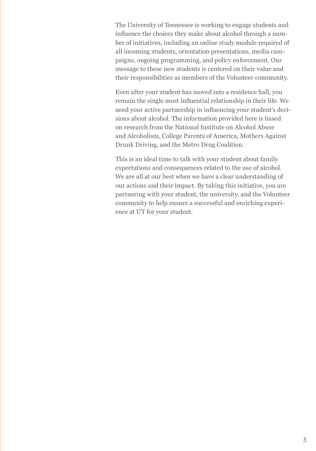The University of Tennessee is working to engage students and influence the choices they make about alcohol through a number of initiatives, including an online study module required of all incoming students, orientation presentations, media campaigns, ongoing programming, and policy enforcement. Our message to these new students is centered on their value and their responsibilities as members of the Volunteer community.

Even after your student has moved into a residence hall, you remain the single most influential relationship in their life. We need your active partnership in influencing your student's decisions about alcohol. The information provided here is based on research from the National Institute on Alcohol Abuse and Alcoholism, College Parents of America, Mothers Against Drunk Driving, and the Metro Drug Coalition.

This is an ideal time to talk with your student about family expectations and consequences related to the use of alcohol. We are all at our best when we have a clear understanding of our actions and their impact. By taking this initiative, you are partnering with your student, the university, and the Volunteer community to help ensure a successful and enriching experience at UT for your student.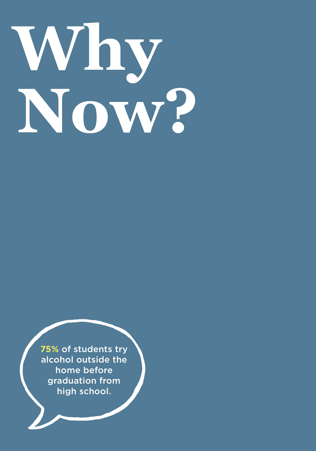# <span id="page-3-0"></span>**Why Now?**

**75%** of students try alcohol outside the home before graduation from high school.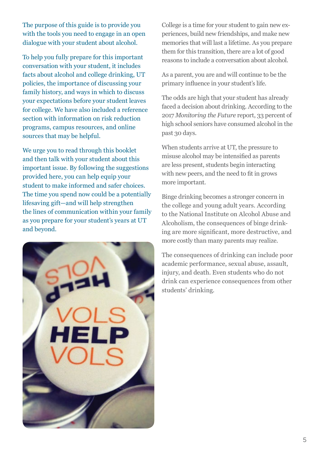The purpose of this guide is to provide you with the tools you need to engage in an open dialogue with your student about alcohol.

To help you fully prepare for this important conversation with your student, it includes facts about alcohol and college drinking, UT policies, the importance of discussing your family history, and ways in which to discuss your expectations before your student leaves for college. We have also included a reference section with information on risk reduction programs, campus resources, and online sources that may be helpful.

We urge you to read through this booklet and then talk with your student about this important issue. By following the suggestions provided here, you can help equip your student to make informed and safer choices. The time you spend now could be a potentially lifesaving gift—and will help strengthen the lines of communication within your family as you prepare for your student's years at UT and beyond.



College is a time for your student to gain new experiences, build new friendships, and make new memories that will last a lifetime. As you prepare them for this transition, there are a lot of good reasons to include a conversation about alcohol.

As a parent, you are and will continue to be the primary influence in your student's life.

The odds are high that your student has already faced a decision about drinking. According to the 2017 *Monitoring the Future* report, 33 percent of high school seniors have consumed alcohol in the past 30 days.

When students arrive at UT, the pressure to misuse alcohol may be intensified as parents are less present, students begin interacting with new peers, and the need to fit in grows more important.

Binge drinking becomes a stronger concern in the college and young adult years. According to the National Institute on Alcohol Abuse and Alcoholism, the consequences of binge drinking are more significant, more destructive, and more costly than many parents may realize.

The consequences of drinking can include poor academic performance, sexual abuse, assault, injury, and death. Even students who do not drink can experience consequences from other students' drinking.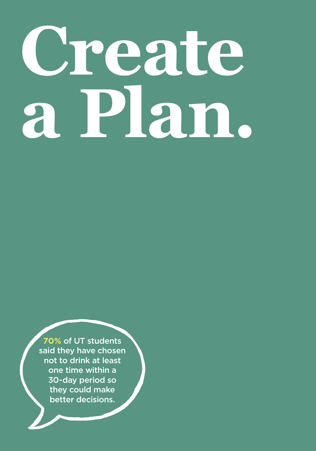# <span id="page-5-0"></span>**Create a Plan.**

**70%** of UT students said they have chosen not to drink at least one time within a 30-day period so they could make better decisions.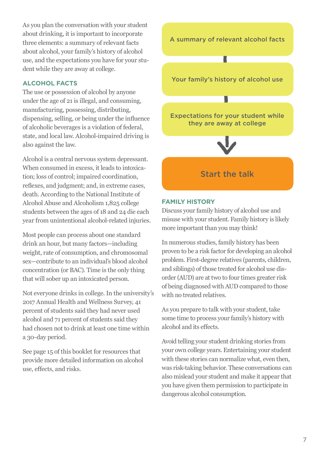As you plan the conversation with your student about drinking, it is important to incorporate three elements: a summary of relevant facts about alcohol, your family's history of alcohol use, and the expectations you have for your student while they are away at college.

#### **ALCOHOL FACTS**

The use or possession of alcohol by anyone under the age of 21 is illegal, and consuming, manufacturing, possessing, distributing, dispensing, selling, or being under the influence of alcoholic beverages is a violation of federal, state, and local law. Alcohol-impaired driving is also against the law.

Alcohol is a central nervous system depressant. When consumed in excess, it leads to intoxication; loss of control; impaired coordination, reflexes, and judgment; and, in extreme cases, death. According to the National Institute of Alcohol Abuse and Alcoholism 1,825 college students between the ages of 18 and 24 die each year from unintentional alcohol-related injuries.

Most people can process about one standard drink an hour, but many factors—including weight, rate of consumption, and chromosomal sex—contribute to an individual's blood alcohol concentration (or BAC). Time is the only thing that will sober up an intoxicated person.

Not everyone drinks in college. In the university's 2017 Annual Health and Wellness Survey, 41 percent of students said they had never used alcohol and 71 percent of students said they had chosen not to drink at least one time within a 30-day period.

See page 15 of this booklet for resources that provide more detailed information on alcohol use, effects, and risks.



#### **FAMILY HISTORY**

Discuss your family history of alcohol use and misuse with your student. Family history is likely more important than you may think!

In numerous studies, family history has been proven to be a risk factor for developing an alcohol problem. First-degree relatives (parents, children, and siblings) of those treated for alcohol use disorder (AUD) are at two to four times greater risk of being diagnosed with AUD compared to those with no treated relatives.

As you prepare to talk with your student, take some time to process your family's history with alcohol and its effects.

Avoid telling your student drinking stories from your own college years. Entertaining your student with these stories can normalize what, even then, was risk-taking behavior. These conversations can also mislead your student and make it appear that you have given them permission to participate in dangerous alcohol consumption.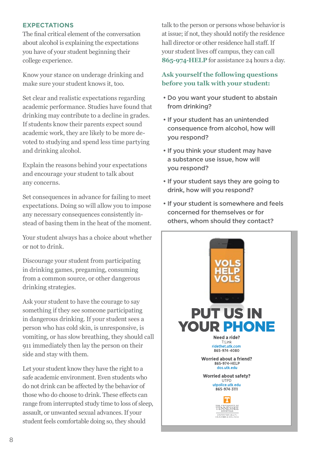#### **EXPECTATIONS**

The final critical element of the conversation about alcohol is explaining the expectations you have of your student beginning their college experience.

Know your stance on underage drinking and make sure your student knows it, too.

Set clear and realistic expectations regarding academic performance. Studies have found that drinking may contribute to a decline in grades. If students know their parents expect sound academic work, they are likely to be more devoted to studying and spend less time partying and drinking alcohol.

Explain the reasons behind your expectations and encourage your student to talk about any concerns.

Set consequences in advance for failing to meet expectations. Doing so will allow you to impose any necessary consequences consistently instead of basing them in the heat of the moment.

Your student always has a choice about whether or not to drink.

Discourage your student from participating in drinking games, pregaming, consuming from a common source, or other dangerous drinking strategies.

Ask your student to have the courage to say something if they see someone participating in dangerous drinking. If your student sees a person who has cold skin, is unresponsive, is vomiting, or has slow breathing, they should call 911 immediately then lay the person on their side and stay with them.

Let your student know they have the right to a safe academic environment. Even students who do not drink can be affected by the behavior of those who do choose to drink. These effects can range from interrupted study time to loss of sleep, assault, or unwanted sexual advances. If your student feels comfortable doing so, they should

talk to the person or persons whose behavior is at issue; if not, they should notify the residence hall director or other residence hall staff. If your student lives off campus, they can call **865-974-HELP** for assistance 24 hours a day.

#### **Ask yourself the following questions before you talk with your student:**

- Do you want your student to abstain from drinking?
- If your student has an unintended consequence from alcohol, how will you respond?
- If you think your student may have a substance use issue, how will you respond?
- If your student says they are going to drink, how will you respond?
- If your student is somewhere and feels concerned for themselves or for others, whom should they contact?

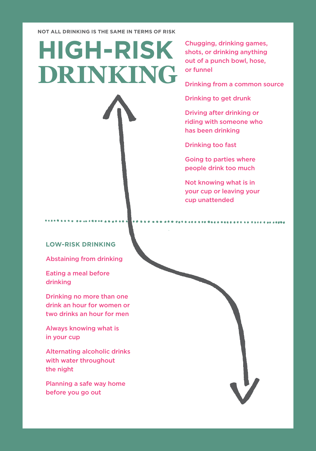**NOT ALL DRINKING IS THE SAME IN TERMS OF RISK**

# **HIGH-RISK DRINKING**

Chugging, drinking games, shots, or drinking anything out of a punch bowl, hose, or funnel

Drinking from a common source

Drinking to get drunk

Driving after drinking or riding with someone who has been drinking

Drinking too fast

Going to parties where people drink too much

Not knowing what is in your cup or leaving your cup unattended

#### **LOW-RISK DRINKING**

Abstaining from drinking

Eating a meal before drinking

Drinking no more than one drink an hour for women or two drinks an hour for men

Always knowing what is in your cup

Alternating alcoholic drinks with water throughout the night

Planning a safe way home before you go out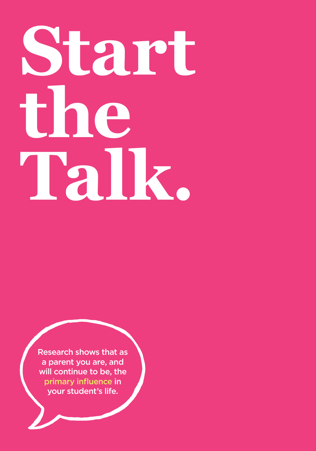# <span id="page-9-0"></span>**Start the Talk.**

Research shows that as a parent you are, and will continue to be, the primary influence in your student's life.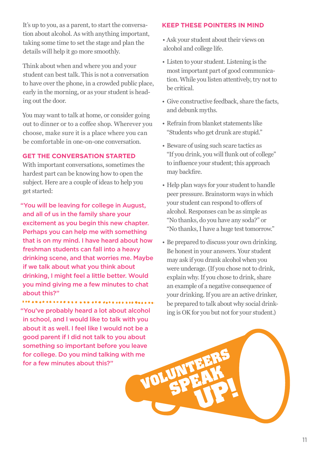It's up to you, as a parent, to start the conversation about alcohol. As with anything important, taking some time to set the stage and plan the details will help it go more smoothly.

Think about when and where you and your student can best talk. This is not a conversation to have over the phone, in a crowded public place, early in the morning, or as your student is heading out the door.

You may want to talk at home, or consider going out to dinner or to a coffee shop. Wherever you choose, make sure it is a place where you can be comfortable in one-on-one conversation.

#### **GET THE CONVERSATION STARTED**

With important conversations, sometimes the hardest part can be knowing how to open the subject. Here are a couple of ideas to help you get started:

"You will be leaving for college in August, and all of us in the family share your excitement as you begin this new chapter. Perhaps you can help me with something that is on my mind. I have heard about how freshman students can fall into a heavy drinking scene, and that worries me. Maybe if we talk about what you think about drinking, I might feel a little better. Would you mind giving me a few minutes to chat about this?"

"You've probably heard a lot about alcohol in school, and I would like to talk with you about it as well. I feel like I would not be a good parent if I did not talk to you about something so important before you leave for college. Do you mind talking with me<br>for a few minutes about this?" for a few minutes about this?"

#### **KEEP THESE POINTERS IN MIND**

• Ask your student about their views on alcohol and college life.

- Listen to your student. Listening is the most important part of good communication. While you listen attentively, try not to be critical.
- Give constructive feedback, share the facts, and debunk myths.
- Refrain from blanket statements like "Students who get drunk are stupid."
- Beware of using such scare tactics as "If you drink, you will flunk out of college" to influence your student; this approach may backfire.
- Help plan ways for your student to handle peer pressure. Brainstorm ways in which your student can respond to offers of alcohol. Responses can be as simple as "No thanks, do you have any soda?" or "No thanks, I have a huge test tomorrow."
- Be prepared to discuss your own drinking. Be honest in your answers. Your student may ask if you drank alcohol when you were underage. (If you chose not to drink, explain why. If you chose to drink, share an example of a negative consequence of your drinking. If you are an active drinker, be prepared to talk about why social drinking is OK for you but not for your student.)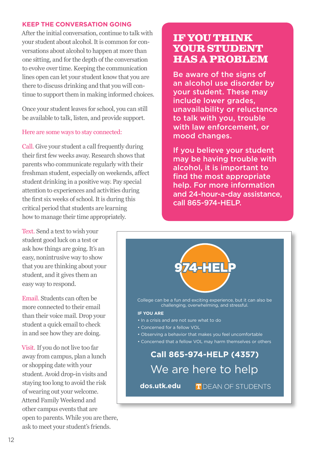#### **KEEP THE CONVERSATION GOING**

After the initial conversation, continue to talk with your student about alcohol. It is common for conversations about alcohol to happen at more than one sitting, and for the depth of the conversation to evolve over time. Keeping the communication lines open can let your student know that you are there to discuss drinking and that you will continue to support them in making informed choices.

Once your student leaves for school, you can still be available to talk, listen, and provide support.

#### Here are some ways to stay connected:

Call. Give your student a call frequently during their first few weeks away. Research shows that parents who communicate regularly with their freshman student, especially on weekends, affect student drinking in a positive way. Pay special attention to experiences and activities during the first six weeks of school. It is during this critical period that students are learning how to manage their time appropriately.

Text. Send a text to wish your student good luck on a test or ask how things are going. It's an easy, nonintrusive way to show that you are thinking about your student, and it gives them an easy way to respond.

Email. Students can often be more connected to their email than their voice mail. Drop your student a quick email to check in and see how they are doing.

Visit. If you do not live too far away from campus, plan a lunch or shopping date with your student. Avoid drop-in visits and staying too long to avoid the risk of wearing out your welcome. Attend Family Weekend and other campus events that are open to parents. While you are there, ask to meet your student's friends.

#### **IF YOU THINK YOUR STUDENT HAS A PROBLEM**

Be aware of the signs of an alcohol use disorder by your student. These may include lower grades, unavailability or reluctance to talk with you, trouble with law enforcement, or mood changes.

If you believe your student may be having trouble with alcohol, it is important to find the most appropriate help. For more information and 24-hour-a-day assistance, call 865-974-HELP.

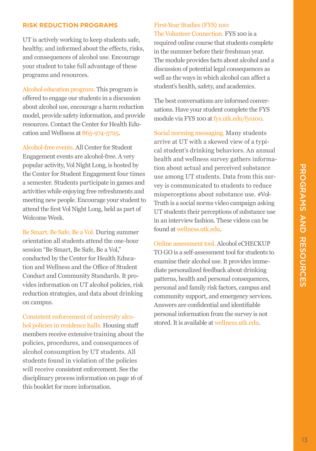#### <span id="page-12-0"></span>**RISK REDUCTION PROGRAMS**

UT is actively working to keep students safe, healthy, and informed about the effects, risks, and consequences of alcohol use. Encourage your student to take full advantage of these programs and resources.

Alcohol education program. This program is offered to engage our students in a discussion about alcohol use, encourage a harm reduction model, provide safety information, and provide resources. Contact the Center for Health Education and Wellness at 865-974-5725.

Alcohol-free events. All Center for Student Engagement events are alcohol-free. A very popular activity, Vol Night Long, is hosted by the Center for Student Engagement four times a semester. Students participate in games and activities while enjoying free refreshments and meeting new people. Encourage your student to attend the first Vol Night Long, held as part of Welcome Week.

Be Smart, Be Safe, Be a Vol. During summer orientation all students attend the one-hour session "Be Smart, Be Safe, Be a Vol," conducted by the Center for Health Education and Wellness and the Office of Student Conduct and Community Standards. It provides information on UT alcohol policies, risk reduction strategies, and data about drinking on campus.

Consistent enforcement of university alcohol policies in residence halls. Housing staff members receive extensive training about the policies, procedures, and consequences of alcohol consumption by UT students. All students found in violation of the policies will receive consistent enforcement. See the disciplinary process information on page 16 of this booklet for more information.

#### First-Year Studies (FYS) 100:

The Volunteer Connection. FYS 100 is a required online course that students complete in the summer before their freshman year. The module provides facts about alcohol and a discussion of potential legal consequences as well as the ways in which alcohol can affect a student's health, safety, and academics.

The best conversations are informed conversations. Have your student complete the FYS module via FYS 100 at [fys.utk.edu/fys100.](http://fys.utk.edu/fys100.)

Social norming messaging. Many students arrive at UT with a skewed view of a typical student's drinking behaviors. An annual health and wellness survey gathers information about actual and perceived substance use among UT students. Data from this survey is communicated to students to reduce misperceptions about substance use. #Vol-Truth is a social norms video campaign asking UT students their perceptions of substance use in an interview fashion. These videos can be found at [wellness.utk.edu.](http://wellness.utk.edu)

Online assessment tool. Alcohol eCHECKUP TO GO is a self-assessment tool for students to examine their alcohol use. It provides immediate personalized feedback about drinking patterns, health and personal consequences, personal and family risk factors, campus and community support, and emergency services. Answers are confidential and identifiable personal information from the survey is not stored. It is available at [wellness.utk.edu.](http://wellness.utk.edu)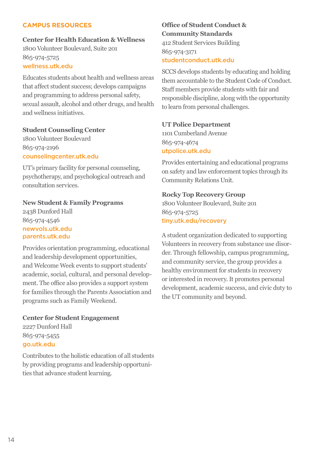#### <span id="page-13-0"></span>**CAMPUS RESOURCES**

### **Center for Health Education & Wellness**

1800 Volunteer Boulevard, Suite 201 865-974-5725 [wellness.utk.edu](http://wellness.utk.edu)

Educates students about health and wellness areas that affect student success; develops campaigns and programming to address personal safety, sexual assault, alcohol and other drugs, and health and wellness initiatives.

#### **Student Counseling Center**

1800 Volunteer Boulevard 865-974-2196 [counselingcenter.utk.edu](http://counselingcenter.utk.edu)

UT's primary facility for personal counseling, psychotherapy, and psychological outreach and consultation services.

#### **New Student & Family Programs**

2438 Dunford Hall 865-974-4546 [newvols.utk.edu](http://newvols.utk.edu) [parents.utk.edu](http://parents.utk.edu)

Provides orientation programming, educational and leadership development opportunities, and Welcome Week events to support students' academic, social, cultural, and personal development. The office also provides a support system for families through the Parents Association and programs such as Family Weekend.

**Center for Student Engagement** 2227 Dunford Hall 865-974-5455 [go.utk.edu](http://go.utk.edu)

Contributes to the holistic education of all students by providing programs and leadership opportunities that advance student learning.

#### **Office of Student Conduct & Community Standards** 412 Student Services Building 865-974-3171 [studentconduct.utk.edu](http://studentconduct.utk.edu)

SCCS develops students by educating and holding them accountable to the Student Code of Conduct. Staff members provide students with fair and responsible discipline, along with the opportunity to learn from personal challenges.

#### **UT Police Department**

1101 Cumberland Avenue 865-974-4674 [utpolice.utk.edu](http://utpolice.utk.edu)

Provides entertaining and educational programs on safety and law enforcement topics through its Community Relations Unit.

#### **Rocky Top Recovery Group**

1800 Volunteer Boulevard, Suite 201 865-974-5725 [tiny.utk.edu/recovery](http://tiny.utk.edu/recovery)

A student organization dedicated to supporting Volunteers in recovery from substance use disorder. Through fellowship, campus programming, and community service, the group provides a healthy environment for students in recovery or interested in recovery. It promotes personal development, academic success, and civic duty to the UT community and beyond.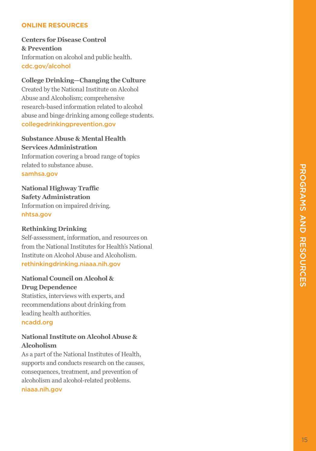#### <span id="page-14-0"></span>**ONLINE RESOURCES**

#### **Centers for Disease Control & Prevention** Information on alcohol and public health. [cdc.gov/alcohol](http://cdc.gov/alcohol)

#### **College Drinking—Changing the Culture**

Created by the National Institute on Alcohol Abuse and Alcoholism; comprehensive research-based information related to alcohol abuse and binge drinking among college students. [collegedrinkingprevention.gov](http://collegedrinkingprevention.gov)

#### **Substance Abuse & Mental Health Services Administration**

Information covering a broad range of topics related to substance abuse. [samhsa.gov](http://samhsa.gov)

**National Highway Traffic Safety Administration** Information on impaired driving. [nhtsa.gov](http://nhtsa.gov)

#### **Rethinking Drinking**

Self-assessment, information, and resources on from the National Institutes for Health's National Institute on Alcohol Abuse and Alcoholism. [rethinkingdrinking.niaaa.nih.gov](http://rethinkingdrinking.niaaa.nih.gov)

#### **National Council on Alcohol & Drug Dependence**

Statistics, interviews with experts, and recommendations about drinking from leading health authorities. [ncadd.org](http://ncadd.org)

#### **National Institute on Alcohol Abuse & Alcoholism**

As a part of the National Institutes of Health, supports and conducts research on the causes, consequences, treatment, and prevention of alcoholism and alcohol-related problems. [niaaa.nih.gov](http://niaaa.nih.gov)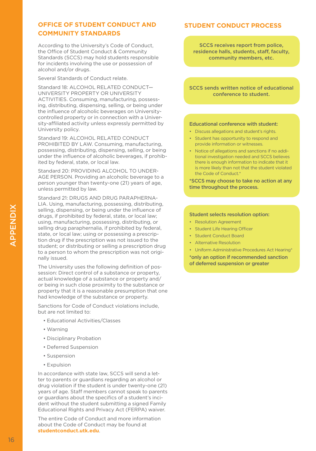#### <span id="page-15-0"></span>**OFFICE OF STUDENT CONDUCT AND COMMUNITY STANDARDS**

According to the University's Code of Conduct, the Office of Student Conduct & Community Standards (SCCS) may hold students responsible for incidents involving the use or possession of alcohol and/or drugs.

Several Standards of Conduct relate.

Standard 18: ALCOHOL RELATED CONDUCT— UNIVERSITY PROPERTY OR UNIVERSITY ACTIVITIES. Consuming, manufacturing, possessing, distributing, dispensing, selling, or being under the influence of alcoholic beverages on Universitycontrolled property or in connection with a University-affiliated activity unless expressly permitted by University policy.

Standard 19: ALCOHOL RELATED CONDUCT PROHIBITED BY LAW. Consuming, manufacturing, possessing, distributing, dispensing, selling, or being under the influence of alcoholic beverages, if prohibited by federal, state, or local law.

Standard 20: PROVIDING ALCOHOL TO UNDER-AGE PERSON. Providing an alcoholic beverage to a person younger than twenty-one (21) years of age, unless permitted by law.

Standard 21: DRUGS AND DRUG PARAPHERNA-LIA. Using, manufacturing, possessing, distributing, selling, dispensing, or being under the influence of drugs, if prohibited by federal, state, or local law; using, manufacturing, possessing, distributing, or selling drug paraphernalia, if prohibited by federal, state, or local law; using or possessing a prescription drug if the prescription was not issued to the student; or distributing or selling a prescription drug to a person to whom the prescription was not originally issued.

The University uses the following definition of possession: Direct control of a substance or property, actual knowledge of a substance or property and/ or being in such close proximity to the substance or property that it is a reasonable presumption that one had knowledge of the substance or property.

Sanctions for Code of Conduct violations include, but are not limited to:

- Educational Activities/Classes
- Warning
- Disciplinary Probation
- Deferred Suspension
- Suspension
- Expulsion

In accordance with state law, SCCS will send a letter to parents or guardians regarding an alcohol or drug violation if the student is under twenty-one (21) years of age. Staff members cannot speak to parents or guardians about the specifics of a student's incident without the student submitting a signed Family Educational Rights and Privacy Act (FERPA) waiver.

The entire Code of Conduct and more information about the Code of Conduct may be found at **[studentconduct.utk.edu](http://studentconduct.utk.edu)**.

#### **STUDENT CONDUCT PROCESS**

SCCS receives report from police, residence halls, students, staff, faculty, community members, etc.

SCCS sends written notice of educational conference to student.

#### Educational conference with student:

- Discuss allegations and student's rights.
- Student has opportunity to respond and provide information or witnesses.
- Notice of allegations and sanctions if no additional investigation needed and SCCS believes there is enough information to indicate that it is more likely than not that the student violated the Code of Conduct.\*

\*SCCS may choose to take no action at any time throughout the process.

#### Student selects resolution option:

- Resolution Agreement
- Student Life Hearing Officer
- Student Conduct Board
- Alternative Resolution
- Uniform Administrative Procedures Act Hearing\*

\*only an option if recommended sanction of deferred suspension or greater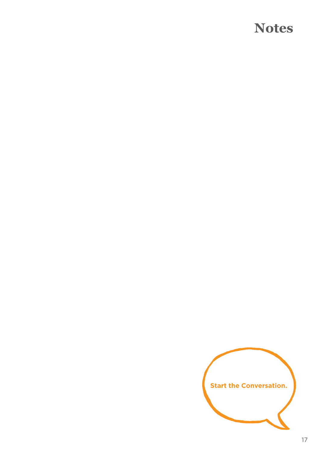### **Notes**

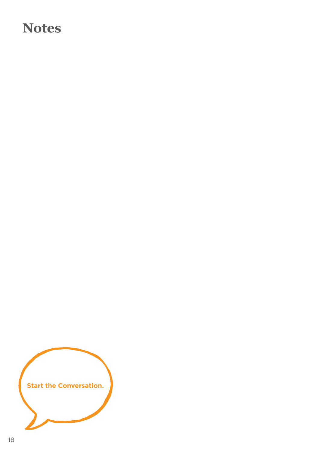## **Notes**

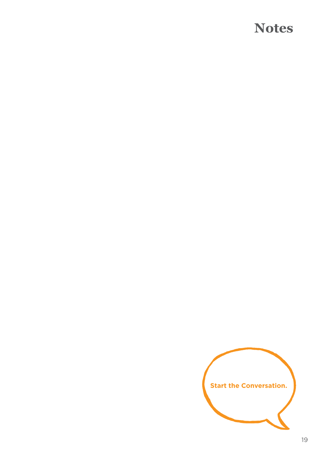### **Notes**